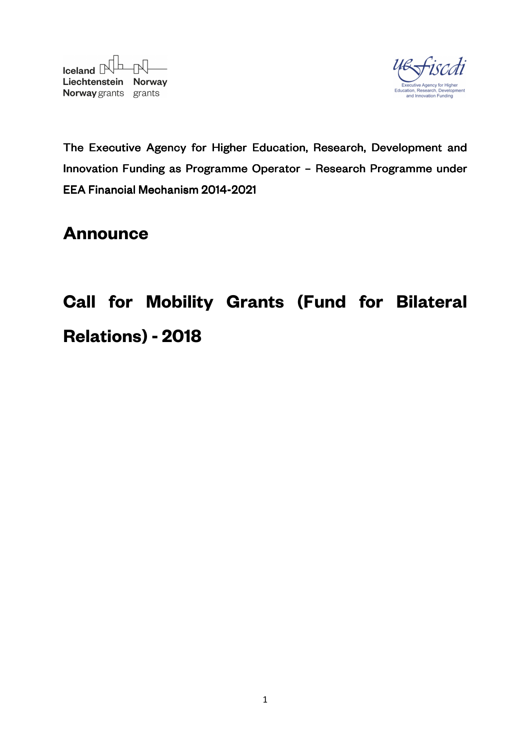



The Executive Agency for Higher Education, Research, Development and Innovation Funding as Programme Operator - Research Programme under EEA Financial Mechanism 2014-2021

# **Announce**

# **Call for Mobility Grants (Fund for Bilateral Relations) - 2018**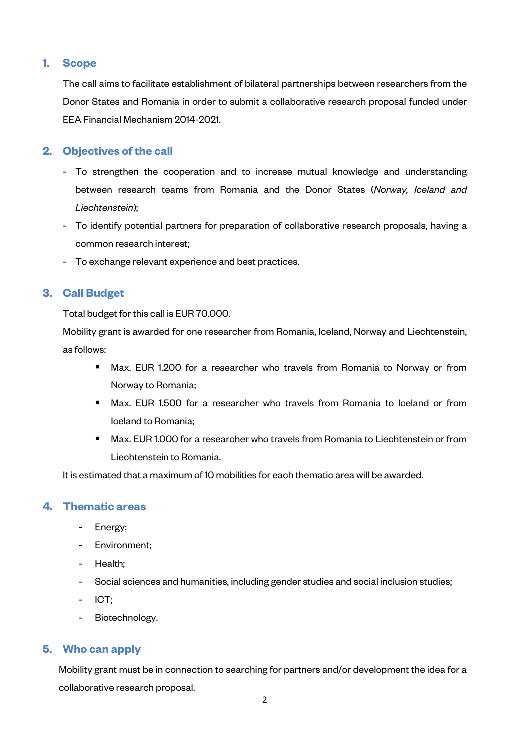# **1. Scope**

The call aims to facilitate establishment of bilateral partnerships between researchers from the Donor States and Romania in order to submit a collaborative research proposal funded under EEA Financial Mechanism 2014-2021.

# **2. Objectives of the call**

- To strengthen the cooperation and to increase mutual knowledge and understanding between research teams from Romania and the Donor States (*Norway, Iceland and Liechtenstein*);
- To identify potential partners for preparation of collaborative research proposals, having a common research interest;
- To exchange relevant experience and best practices.

# **3. Call Budget**

Total budget for this call is EUR 70.000.

Mobility grant is awarded for one researcher from Romania, Iceland, Norway and Liechtenstein, as follows:

- **Max. EUR 1.200 for a researcher who travels from Romania to Norway or from** Norway to Romania;
- **Max. EUR 1.500 for a researcher who travels from Romania to Iceland or from** Iceland to Romania;
- Max. EUR 1.000 for a researcher who travels from Romania to Liechtenstein or from Liechtenstein to Romania.

It is estimated that a maximum of 10 mobilities for each thematic area will be awarded.

# **4. Thematic areas**

- Energy;
- Environment;
- Health;
- Social sciences and humanities, including gender studies and social inclusion studies;
- ICT;
- Biotechnology.

# **5. Who can apply**

Mobility grant must be in connection to searching for partners and/or development the idea for a collaborative research proposal.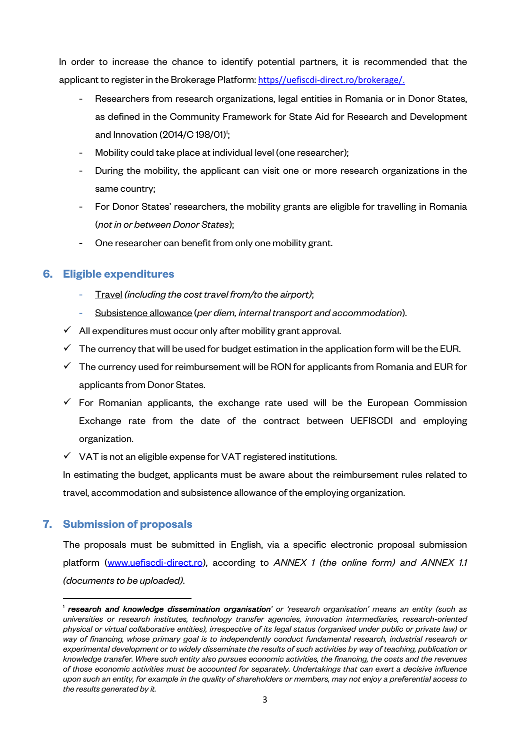In order to increase the chance to identify potential partners, it is recommended that the applicant to register in the Brokerage Platform: https//uefiscdi-direct.ro/brokerage/.

- Researchers from research organizations, legal entities in Romania or in Donor States, as defined in the Community Framework for State Aid for Research and Development and Innovation (2014/C 198/01)<sup>1</sup>;
- Mobility could take place at individual level (one researcher);
- During the mobility, the applicant can visit one or more research organizations in the same country;
- For Donor States' researchers, the mobility grants are eligible for travelling in Romania (*not in or between Donor States*);
- One researcher can benefit from only one mobility grant.

#### **6. Eligible expenditures**

- Travel *(including the cost travel from/to the airport)*;
- Subsistence allowance (*per diem, internal transport and accommodation*).
- $\checkmark$  All expenditures must occur only after mobility grant approval.
- $\checkmark$  The currency that will be used for budget estimation in the application form will be the EUR.
- $\checkmark$  The currency used for reimbursement will be RON for applicants from Romania and EUR for applicants from Donor States.
- $\checkmark$  For Romanian applicants, the exchange rate used will be the European Commission Exchange rate from the date of the contract between UEFISCDI and employing organization.
- $\checkmark$  VAT is not an eligible expense for VAT registered institutions.

In estimating the budget, applicants must be aware about the reimbursement rules related to travel, accommodation and subsistence allowance of the employing organization.

#### **7. Submission of proposals**

 $\overline{\phantom{a}}$ 

The proposals must be submitted in English, via a specific electronic proposal submission platform (www.uefiscdi-direct.ro), according to *ANNEX 1 (the online form) and ANNEX 1.1 (documents to be uploaded)*.

<sup>&</sup>lt;sup>1</sup> **research and knowledge dissemination organisation'** or 'research organisation' means an entity (such as *universities or research institutes, technology transfer agencies, innovation intermediaries, research-oriented physical or virtual collaborative entities), irrespective of its legal status (organised under public or private law) or way of financing, whose primary goal is to independently conduct fundamental research, industrial research or experimental development or to widely disseminate the results of such activities by way of teaching, publication or knowledge transfer. Where such entity also pursues economic activities, the financing, the costs and the revenues of those economic activities must be accounted for separately. Undertakings that can exert a decisive influence upon such an entity, for example in the quality of shareholders or members, may not enjoy a preferential access to the results generated by it.*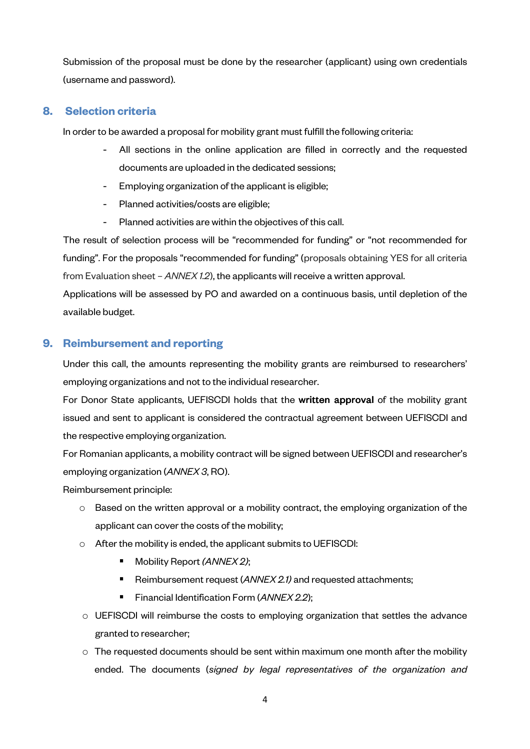Submission of the proposal must be done by the researcher (applicant) using own credentials (username and password).

#### **8. Selection criteria**

In order to be awarded a proposal for mobility grant must fulfill the following criteria:

- All sections in the online application are filled in correctly and the requested documents are uploaded in the dedicated sessions;
- Employing organization of the applicant is eligible;
- Planned activities/costs are eligible;
- Planned activities are within the objectives of this call.

The result of selection process will be "recommended for funding" or "not recommended for funding". For the proposals "recommended for funding" (proposals obtaining YES for all criteria from Evaluation sheet – *ANNEX 1.2*), the applicants will receive a written approval.

Applications will be assessed by PO and awarded on a continuous basis, until depletion of the available budget.

# **9. Reimbursement and reporting**

Under this call, the amounts representing the mobility grants are reimbursed to researchers' employing organizations and not to the individual researcher.

For Donor State applicants, UEFISCDI holds that the written approval of the mobility grant issued and sent to applicant is considered the contractual agreement between UEFISCDI and the respective employing organization.

For Romanian applicants, a mobility contract will be signed between UEFISCDI and researcher's employing organization (*ANNEX 3*, RO).

Reimbursement principle:

- $\circ$  Based on the written approval or a mobility contract, the employing organization of the applicant can cover the costs of the mobility;
- o After the mobility is ended, the applicant submits to UEFISCDI:
	- Mobility Report *(ANNEX 2)*;
	- Reimbursement request (ANNEX 2.1) and requested attachments;
	- Financial Identification Form (*ANNEX 2.2*);
- o UEFISCDI will reimburse the costs to employing organization that settles the advance granted to researcher;
- $\circ$  The requested documents should be sent within maximum one month after the mobility ended. The documents (*signed by legal representatives of the organization and*